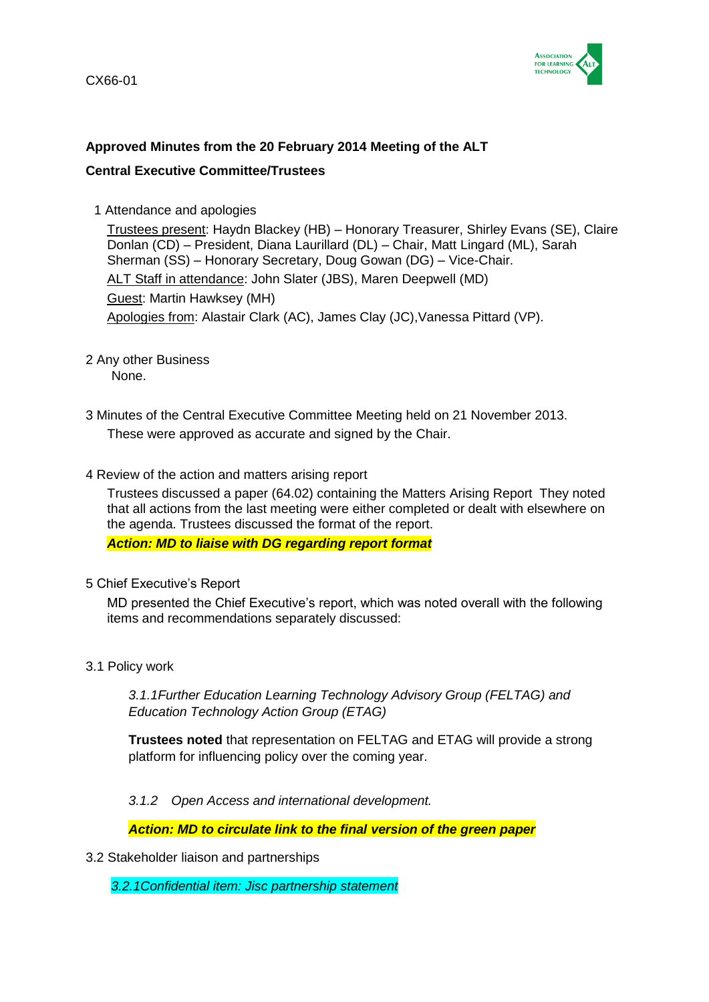

# **Approved Minutes from the 20 February 2014 Meeting of the ALT**

# **Central Executive Committee/Trustees**

1 Attendance and apologies

Trustees present: Haydn Blackey (HB) – Honorary Treasurer, Shirley Evans (SE), Claire Donlan (CD) – President, Diana Laurillard (DL) – Chair, Matt Lingard (ML), Sarah Sherman (SS) – Honorary Secretary, Doug Gowan (DG) – Vice-Chair. ALT Staff in attendance: John Slater (JBS), Maren Deepwell (MD) Guest: Martin Hawksey (MH) Apologies from: Alastair Clark (AC), James Clay (JC),Vanessa Pittard (VP).

- 2 Any other Business
	- None.
- 3 Minutes of the Central Executive Committee Meeting held on 21 November 2013. These were approved as accurate and signed by the Chair.
- 4 Review of the action and matters arising report

Trustees discussed a paper (64.02) containing the Matters Arising Report They noted that all actions from the last meeting were either completed or dealt with elsewhere on the agenda. Trustees discussed the format of the report.

*Action: MD to liaise with DG regarding report format*

5 Chief Executive's Report

MD presented the Chief Executive's report, which was noted overall with the following items and recommendations separately discussed:

3.1 Policy work

*3.1.1Further Education Learning Technology Advisory Group (FELTAG) and Education Technology Action Group (ETAG)*

**Trustees noted** that representation on FELTAG and ETAG will provide a strong platform for influencing policy over the coming year.

*3.1.2 Open Access and international development.*

*Action: MD to circulate link to the final version of the green paper*

3.2 Stakeholder liaison and partnerships

*3.2.1Confidential item: Jisc partnership statement*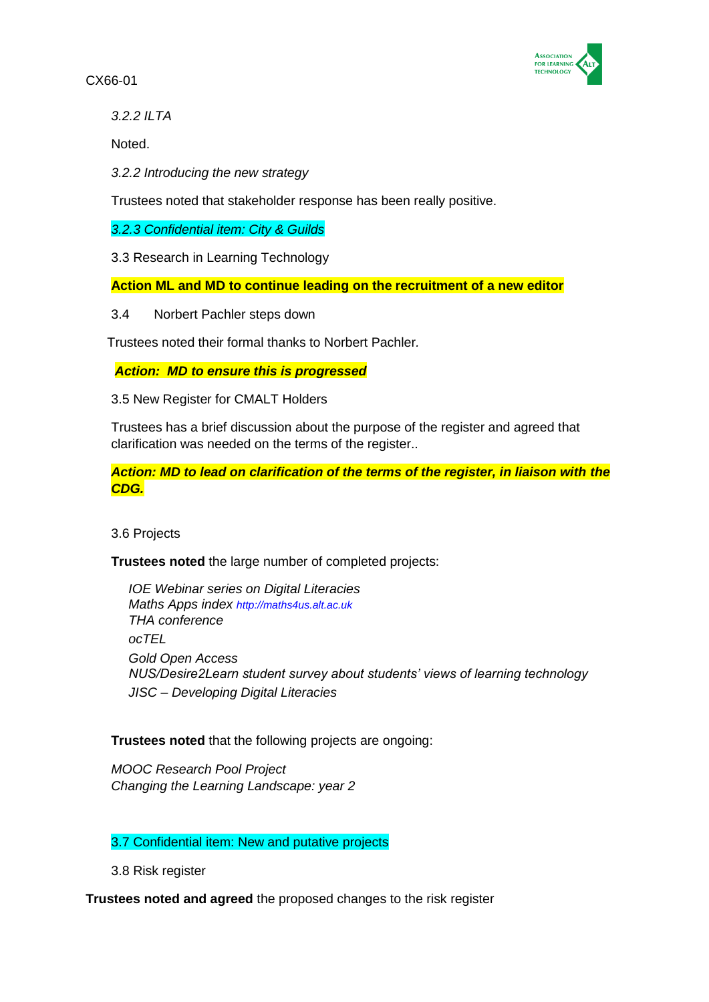

*3.2.2 ILTA*

Noted.

*3.2.2 Introducing the new strategy*

Trustees noted that stakeholder response has been really positive.

*3.2.3 Confidential item: City & Guilds*

3.3 Research in Learning Technology

**Action ML and MD to continue leading on the recruitment of a new editor**

3.4 Norbert Pachler steps down

Trustees noted their formal thanks to Norbert Pachler*.*

*Action: MD to ensure this is progressed*

3.5 New Register for CMALT Holders

Trustees has a brief discussion about the purpose of the register and agreed that clarification was needed on the terms of the register..

*Action: MD to lead on clarification of the terms of the register, in liaison with the CDG.*

3.6 Projects

**Trustees noted** the large number of completed projects:

*IOE Webinar series on Digital Literacies Maths Apps index [http://maths4us.alt.ac.uk](http://maths4us.alt.ac.uk/) THA conference ocTEL Gold Open Access NUS/Desire2Learn student survey about students' views of learning technology JISC – Developing Digital Literacies*

**Trustees noted** that the following projects are ongoing:

*MOOC Research Pool Project Changing the Learning Landscape: year 2*

3.7 Confidential item: New and putative projects

3.8 Risk register

**Trustees noted and agreed** the proposed changes to the risk register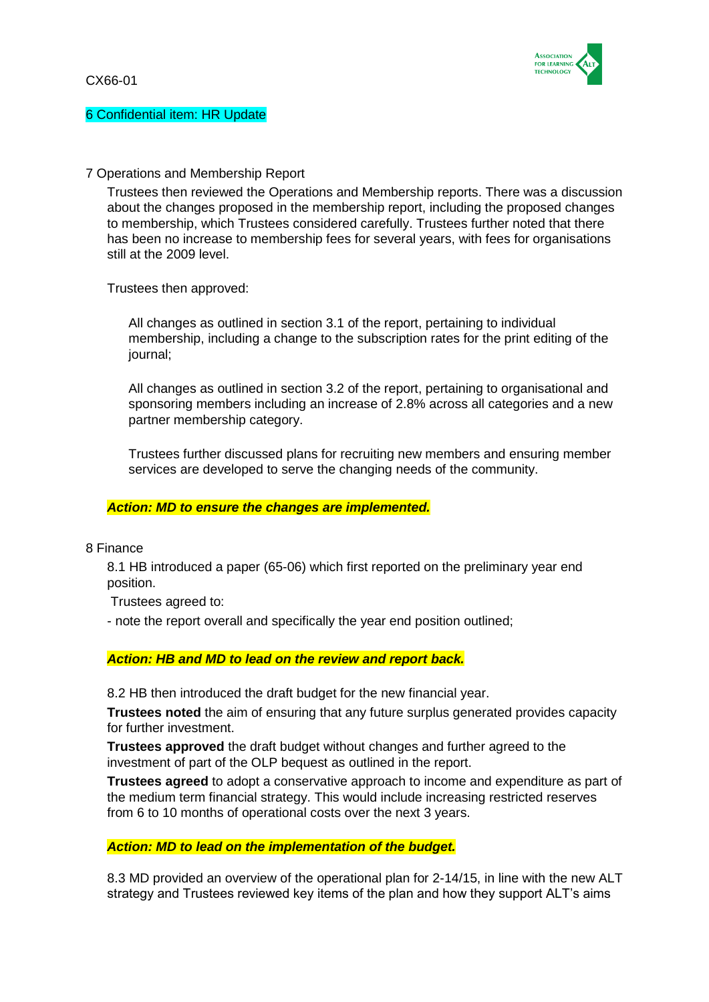

### 6 Confidential item: HR Update

## 7 Operations and Membership Report

Trustees then reviewed the Operations and Membership reports. There was a discussion about the changes proposed in the membership report, including the proposed changes to membership, which Trustees considered carefully. Trustees further noted that there has been no increase to membership fees for several years, with fees for organisations still at the 2009 level.

Trustees then approved:

All changes as outlined in section 3.1 of the report, pertaining to individual membership, including a change to the subscription rates for the print editing of the journal;

All changes as outlined in section 3.2 of the report, pertaining to organisational and sponsoring members including an increase of 2.8% across all categories and a new partner membership category.

Trustees further discussed plans for recruiting new members and ensuring member services are developed to serve the changing needs of the community.

### *Action: MD to ensure the changes are implemented.*

8 Finance

8.1 HB introduced a paper (65-06) which first reported on the preliminary year end position.

Trustees agreed to:

- note the report overall and specifically the year end position outlined;

### *Action: HB and MD to lead on the review and report back.*

8.2 HB then introduced the draft budget for the new financial year.

**Trustees noted** the aim of ensuring that any future surplus generated provides capacity for further investment.

**Trustees approved** the draft budget without changes and further agreed to the investment of part of the OLP bequest as outlined in the report.

**Trustees agreed** to adopt a conservative approach to income and expenditure as part of the medium term financial strategy. This would include increasing restricted reserves from 6 to 10 months of operational costs over the next 3 years.

#### *Action: MD to lead on the implementation of the budget.*

8.3 MD provided an overview of the operational plan for 2-14/15, in line with the new ALT strategy and Trustees reviewed key items of the plan and how they support ALT's aims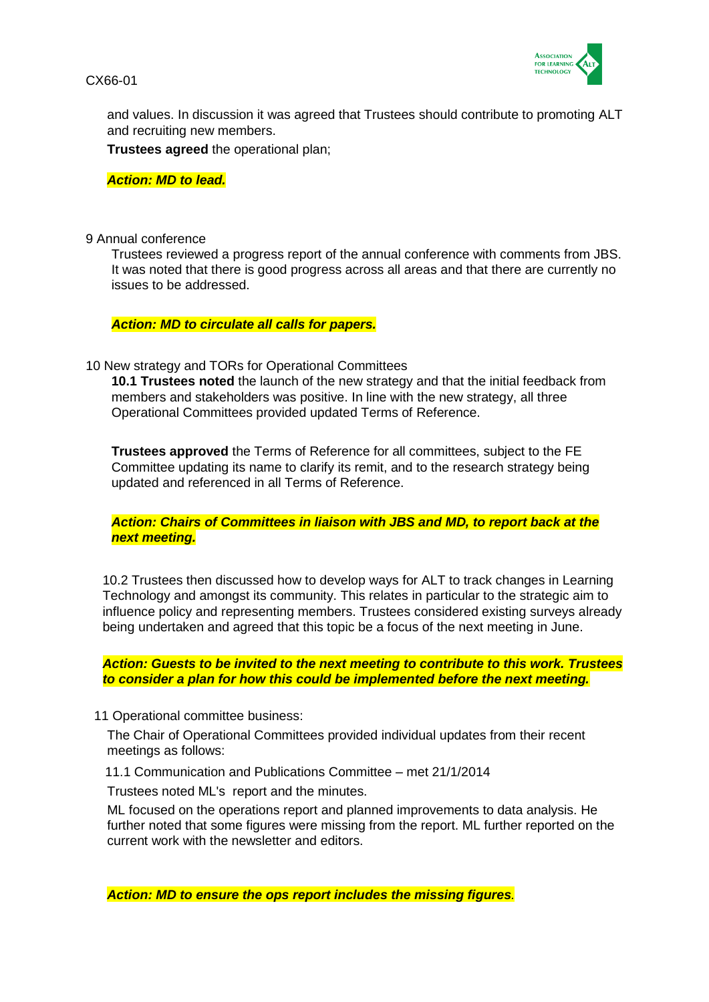

and values. In discussion it was agreed that Trustees should contribute to promoting ALT and recruiting new members.

**Trustees agreed** the operational plan;

*Action: MD to lead.*

#### 9 Annual conference

Trustees reviewed a progress report of the annual conference with comments from JBS. It was noted that there is good progress across all areas and that there are currently no issues to be addressed.

*Action: MD to circulate all calls for papers.*

10 New strategy and TORs for Operational Committees

**10.1 Trustees noted** the launch of the new strategy and that the initial feedback from members and stakeholders was positive. In line with the new strategy, all three Operational Committees provided updated Terms of Reference.

**Trustees approved** the Terms of Reference for all committees, subject to the FE Committee updating its name to clarify its remit, and to the research strategy being updated and referenced in all Terms of Reference.

*Action: Chairs of Committees in liaison with JBS and MD, to report back at the next meeting.*

10.2 Trustees then discussed how to develop ways for ALT to track changes in Learning Technology and amongst its community. This relates in particular to the strategic aim to influence policy and representing members. Trustees considered existing surveys already being undertaken and agreed that this topic be a focus of the next meeting in June.

*Action: Guests to be invited to the next meeting to contribute to this work. Trustees to consider a plan for how this could be implemented before the next meeting.*

11 Operational committee business:

The Chair of Operational Committees provided individual updates from their recent meetings as follows:

11.1 Communication and Publications Committee – met 21/1/2014

Trustees noted ML's report and the minutes.

ML focused on the operations report and planned improvements to data analysis. He further noted that some figures were missing from the report. ML further reported on the current work with the newsletter and editors.

*Action: MD to ensure the ops report includes the missing figures.*